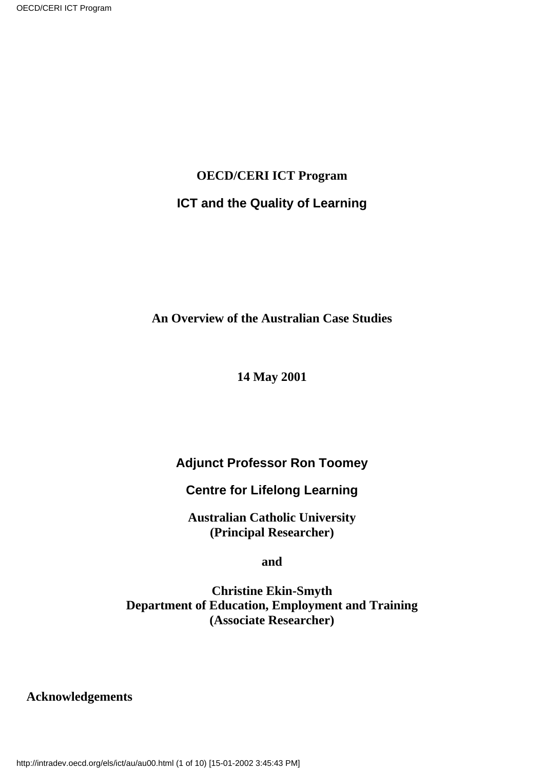# **OECD/CERI ICT Program ICT and the Quality of Learning**

**An Overview of the Australian Case Studies**

#### **14 May 2001**

# **Adjunct Professor Ron Toomey**

### **Centre for Lifelong Learning**

**Australian Catholic University (Principal Researcher)**

**and**

**Christine Ekin-Smyth Department of Education, Employment and Training (Associate Researcher)**

#### **Acknowledgements**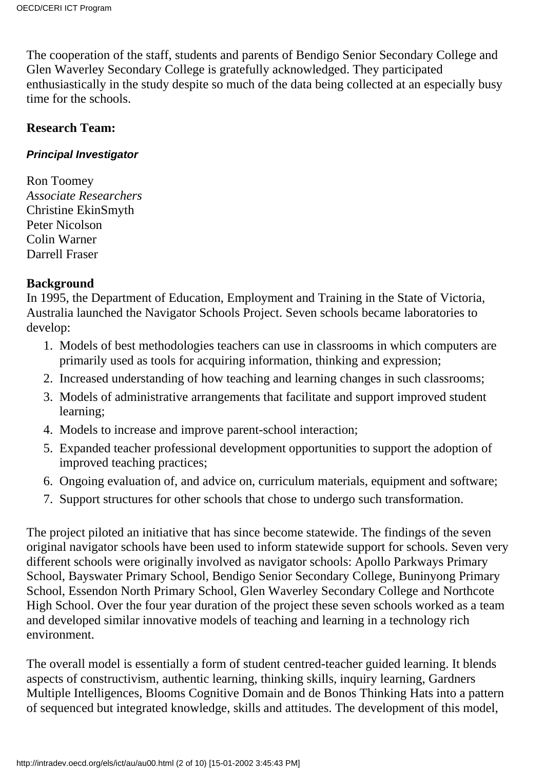The cooperation of the staff, students and parents of Bendigo Senior Secondary College and Glen Waverley Secondary College is gratefully acknowledged. They participated enthusiastically in the study despite so much of the data being collected at an especially busy time for the schools.

#### **Research Team:**

#### **Principal Investigator**

Ron Toomey *Associate Researchers* Christine EkinSmyth Peter Nicolson Colin Warner Darrell Fraser

#### **Background**

In 1995, the Department of Education, Employment and Training in the State of Victoria, Australia launched the Navigator Schools Project. Seven schools became laboratories to develop:

- 1. Models of best methodologies teachers can use in classrooms in which computers are primarily used as tools for acquiring information, thinking and expression;
- 2. Increased understanding of how teaching and learning changes in such classrooms;
- 3. Models of administrative arrangements that facilitate and support improved student learning;
- 4. Models to increase and improve parent-school interaction;
- Expanded teacher professional development opportunities to support the adoption of 5. improved teaching practices;
- 6. Ongoing evaluation of, and advice on, curriculum materials, equipment and software;
- 7. Support structures for other schools that chose to undergo such transformation.

The project piloted an initiative that has since become statewide. The findings of the seven original navigator schools have been used to inform statewide support for schools. Seven very different schools were originally involved as navigator schools: Apollo Parkways Primary School, Bayswater Primary School, Bendigo Senior Secondary College, Buninyong Primary School, Essendon North Primary School, Glen Waverley Secondary College and Northcote High School. Over the four year duration of the project these seven schools worked as a team and developed similar innovative models of teaching and learning in a technology rich environment.

The overall model is essentially a form of student centred-teacher guided learning. It blends aspects of constructivism, authentic learning, thinking skills*,* inquiry learning, Gardners Multiple Intelligences, Blooms Cognitive Domain and de Bonos Thinking Hats into a pattern of sequenced but integrated knowledge, skills and attitudes. The development of this model,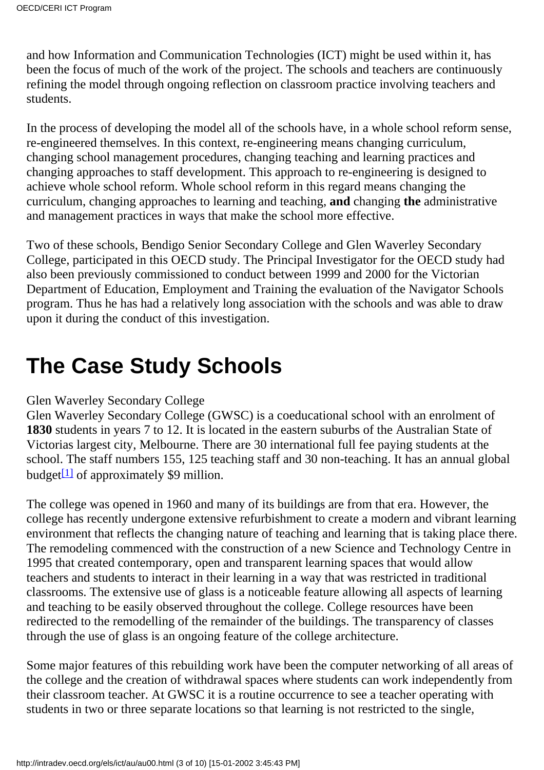and how Information and Communication Technologies (ICT) might be used within it, has been the focus of much of the work of the project. The schools and teachers are continuously refining the model through ongoing reflection on classroom practice involving teachers and students.

In the process of developing the model all of the schools have, in a whole school reform sense, re-engineered themselves. In this context, re-engineering means changing curriculum, changing school management procedures, changing teaching and learning practices and changing approaches to staff development. This approach to re-engineering is designed to achieve whole school reform. Whole school reform in this regard means changing the curriculum, changing approaches to learning and teaching, **and** changing **the** administrative and management practices in ways that make the school more effective.

Two of these schools, Bendigo Senior Secondary College and Glen Waverley Secondary College, participated in this OECD study. The Principal Investigator for the OECD study had also been previously commissioned to conduct between 1999 and 2000 for the Victorian Department of Education, Employment and Training the evaluation of the Navigator Schools program. Thus he has had a relatively long association with the schools and was able to draw upon it during the conduct of this investigation.

# **The Case Study Schools**

# Glen Waverley Secondary College

Glen Waverley Secondary College (GWSC) is a coeducational school with an enrolment of **1830** students in years 7 to 12. It is located in the eastern suburbs of the Australian State of Victorias largest city, Melbourne. There are 30 international full fee paying students at the school. The staff numbers 155, 125 teaching staff and 30 non-teaching. It has an annual global budget $\left[1\right]$  of approximately \$9 million.

<span id="page-2-0"></span>The college was opened in 1960 and many of its buildings are from that era. However, the college has recently undergone extensive refurbishment to create a modern and vibrant learning environment that reflects the changing nature of teaching and learning that is taking place there. The remodeling commenced with the construction of a new Science and Technology Centre in 1995 that created contemporary, open and transparent learning spaces that would allow teachers and students to interact in their learning in a way that was restricted in traditional classrooms. The extensive use of glass is a noticeable feature allowing all aspects of learning and teaching to be easily observed throughout the college. College resources have been redirected to the remodelling of the remainder of the buildings. The transparency of classes through the use of glass is an ongoing feature of the college architecture.

Some major features of this rebuilding work have been the computer networking of all areas of the college and the creation of withdrawal spaces where students can work independently from their classroom teacher. At GWSC it is a routine occurrence to see a teacher operating with students in two or three separate locations so that learning is not restricted to the single,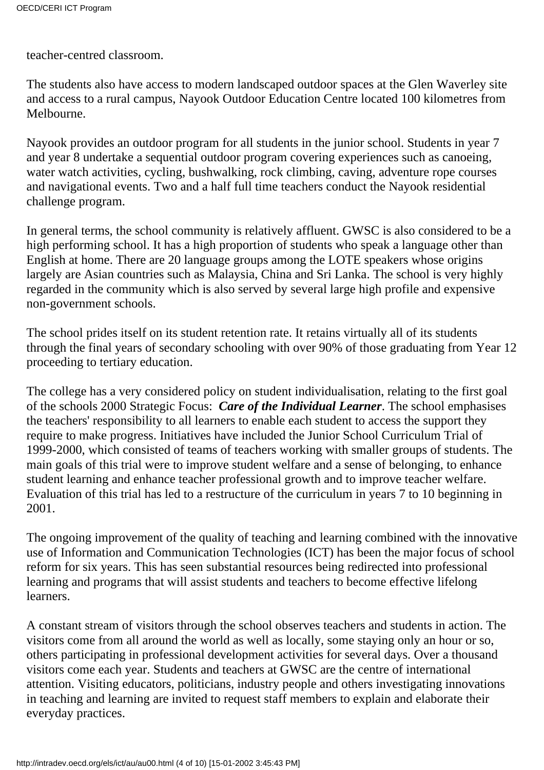teacher-centred classroom.

The students also have access to modern landscaped outdoor spaces at the Glen Waverley site and access to a rural campus, Nayook Outdoor Education Centre located 100 kilometres from Melbourne.

Nayook provides an outdoor program for all students in the junior school. Students in year 7 and year 8 undertake a sequential outdoor program covering experiences such as canoeing, water watch activities, cycling, bushwalking, rock climbing, caving, adventure rope courses and navigational events. Two and a half full time teachers conduct the Nayook residential challenge program.

In general terms, the school community is relatively affluent. GWSC is also considered to be a high performing school. It has a high proportion of students who speak a language other than English at home. There are 20 language groups among the LOTE speakers whose origins largely are Asian countries such as Malaysia, China and Sri Lanka. The school is very highly regarded in the community which is also served by several large high profile and expensive non-government schools.

The school prides itself on its student retention rate. It retains virtually all of its students through the final years of secondary schooling with over 90% of those graduating from Year 12 proceeding to tertiary education.

The college has a very considered policy on student individualisation, relating to the first goal of the schools 2000 Strategic Focus: *Care of the Individual Learner*. The school emphasises the teachers' responsibility to all learners to enable each student to access the support they require to make progress. Initiatives have included the Junior School Curriculum Trial of 1999-2000, which consisted of teams of teachers working with smaller groups of students. The main goals of this trial were to improve student welfare and a sense of belonging, to enhance student learning and enhance teacher professional growth and to improve teacher welfare. Evaluation of this trial has led to a restructure of the curriculum in years 7 to 10 beginning in 2001.

The ongoing improvement of the quality of teaching and learning combined with the innovative use of Information and Communication Technologies (ICT) has been the major focus of school reform for six years. This has seen substantial resources being redirected into professional learning and programs that will assist students and teachers to become effective lifelong learners.

A constant stream of visitors through the school observes teachers and students in action. The visitors come from all around the world as well as locally, some staying only an hour or so, others participating in professional development activities for several days. Over a thousand visitors come each year. Students and teachers at GWSC are the centre of international attention. Visiting educators, politicians, industry people and others investigating innovations in teaching and learning are invited to request staff members to explain and elaborate their everyday practices.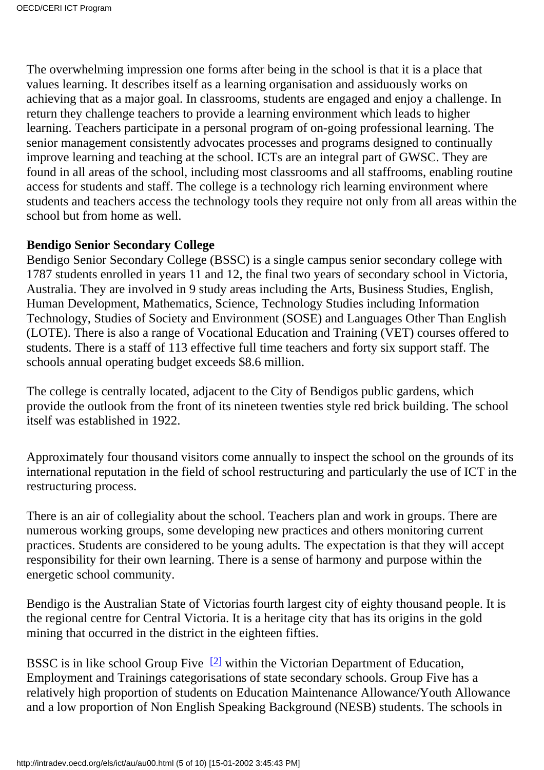The overwhelming impression one forms after being in the school is that it is a place that values learning. It describes itself as a learning organisation and assiduously works on achieving that as a major goal. In classrooms, students are engaged and enjoy a challenge. In return they challenge teachers to provide a learning environment which leads to higher learning. Teachers participate in a personal program of on-going professional learning. The senior management consistently advocates processes and programs designed to continually improve learning and teaching at the school. ICTs are an integral part of GWSC. They are found in all areas of the school, including most classrooms and all staffrooms, enabling routine access for students and staff. The college is a technology rich learning environment where students and teachers access the technology tools they require not only from all areas within the school but from home as well.

#### **Bendigo Senior Secondary College**

Bendigo Senior Secondary College (BSSC) is a single campus senior secondary college with 1787 students enrolled in years 11 and 12, the final two years of secondary school in Victoria, Australia. They are involved in 9 study areas including the Arts, Business Studies, English, Human Development, Mathematics, Science, Technology Studies including Information Technology, Studies of Society and Environment (SOSE) and Languages Other Than English (LOTE). There is also a range of Vocational Education and Training (VET) courses offered to students. There is a staff of 113 effective full time teachers and forty six support staff. The school s annual operating budget exceeds \$8.6 million.

The college is centrally located, adjacent to the City of Bendigo s public gardens, which provide the outlook from the front of its nineteen twenties style red brick building. The school itself was established in 1922.

Approximately four thousand visitors come annually to inspect the school on the grounds of its international reputation in the field of school restructuring and particularly the use of ICT in the restructuring process.

There is an air of collegiality about the school. Teachers plan and work in groups. There are numerous working groups, some developing new practices and others monitoring current practices. Students are considered to be young adults. The expectation is that they will accept responsibility for their own learning. There is a sense of harmony and purpose within the energetic school community.

Bendigo is the Australian State of Victorias fourth largest city of eighty thousand people. It is the regional centre for Central Victoria. It is a heritage city that has its origins in the gold mining that occurred in the district in the eighteen fifties.

<span id="page-4-0"></span>BSSC is in like school Group Five<sup>[2]</sup> within the Victorian Department of Education, Employment and Training s categorisations of state secondary schools. Group Five has a relatively high proportion of students on Education Maintenance Allowance/Youth Allowance and a low proportion of Non English Speaking Background (NESB) students. The schools in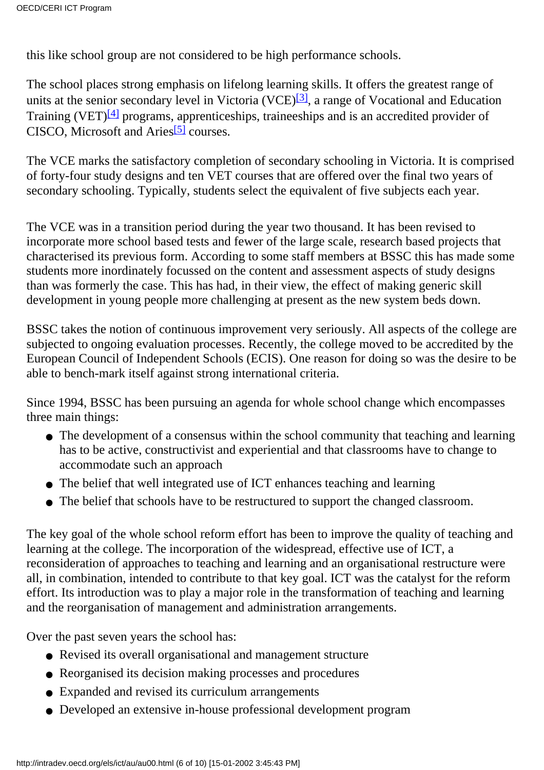this like school group are not considered to be high performance schools.

<span id="page-5-1"></span><span id="page-5-0"></span>The school places strong emphasis on lifelong learning skills. It offers the greatest range of units at the senior secondary level in Victoria (VCE)<sup>[3]</sup>, a range of Vocational and Education Training (VET)<sup>[4]</sup> programs, apprenticeships, traineeships and is an accredited provider of CISCO, Microsoft and Aries<sup>[\[5\]](#page-9-4)</sup> courses.

<span id="page-5-2"></span>The VCE marks the satisfactory completion of secondary schooling in Victoria. It is comprised of forty-four study designs and ten VET courses that are offered over the final two years of secondary schooling. Typically, students select the equivalent of five subjects each year.

The VCE was in a transition period during the year two thousand. It has been revised to incorporate more school based tests and fewer of the large scale, research based projects that characterised its previous form. According to some staff members at BSSC this has made some students more inordinately focussed on the content and assessment aspects of study designs than was formerly the case. This has had, in their view, the effect of making generic skill development in young people more challenging at present as the new system beds down.

BSSC takes the notion of continuous improvement very seriously. All aspects of the college are subjected to ongoing evaluation processes. Recently, the college moved to be accredited by the European Council of Independent Schools (ECIS). One reason for doing so was the desire to be able to bench-mark itself against strong international criteria.

Since 1994, BSSC has been pursuing an agenda for whole school change which encompasses three main things:

- The development of a consensus within the school community that teaching and learning has to be active, constructivist and experiential and that classrooms have to change to accommodate such an approach
- The belief that well integrated use of ICT enhances teaching and learning
- The belief that schools have to be restructured to support the changed classroom.

The key goal of the whole school reform effort has been to improve the quality of teaching and learning at the college. The incorporation of the widespread, effective use of ICT, a reconsideration of approaches to teaching and learning and an organisational restructure were all, in combination, intended to contribute to that key goal. ICT was the catalyst for the reform effort. Its introduction was to play a major role in the transformation of teaching and learning and the reorganisation of management and administration arrangements.

Over the past seven years the school has:

- Revised its overall organisational and management structure
- Reorganised its decision making processes and procedures
- Expanded and revised its curriculum arrangements
- Developed an extensive in-house professional development program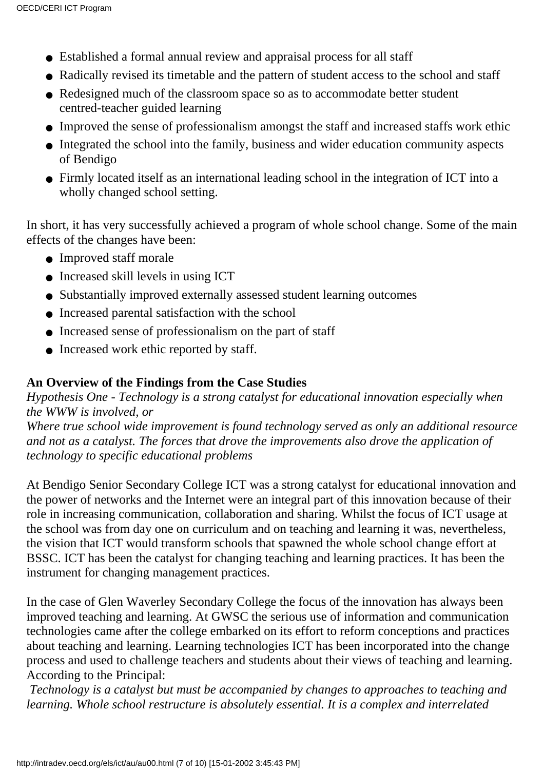- Established a formal annual review and appraisal process for all staff
- Radically revised its timetable and the pattern of student access to the school and staff
- Redesigned much of the classroom space so as to accommodate better student centred-teacher guided learning
- Improved the sense of professionalism amongst the staff and increased staff s work ethic
- Integrated the school into the family, business and wider education community aspects of Bendigo
- Firmly located itself as an international leading school in the integration of ICT into a wholly changed school setting.

In short, it has very successfully achieved a program of whole school change. Some of the main effects of the changes have been:

- Improved staff morale
- Increased skill levels in using ICT
- Substantially improved externally assessed student learning outcomes
- Increased parental satisfaction with the school
- Increased sense of professionalism on the part of staff
- Increased work ethic reported by staff.

#### **An Overview of the Findings from the Case Studies**

*Hypothesis One - Technology is a strong catalyst for educational innovation especially when the WWW is involved, or*

*Where true school wide improvement is found technology served as only an additional resource and not as a catalyst. The forces that drove the improvements also drove the application of technology to specific educational problems*

At Bendigo Senior Secondary College ICT was a strong catalyst for educational innovation and the power of networks and the Internet were an integral part of this innovation because of their role in increasing communication, collaboration and sharing. Whilst the focus of ICT usage at the school was from day one on curriculum and on teaching and learning it was, nevertheless, the vision that ICT would transform schools that spawned the whole school change effort at BSSC. ICT has been the catalyst for changing teaching and learning practices. It has been the instrument for changing management practices.

In the case of Glen Waverley Secondary College the focus of the innovation has always been improved teaching and learning. At GWSC the serious use of information and communication technologies came after the college embarked on its effort to reform conceptions and practices about teaching and learning. Learning technologies ICT has been incorporated into the change process and used to challenge teachers and students about their views of teaching and learning. According to the Principal:

*Technology is a catalyst but must be accompanied by changes to approaches to teaching and learning. Whole school restructure is absolutely essential. It is a complex and interrelated*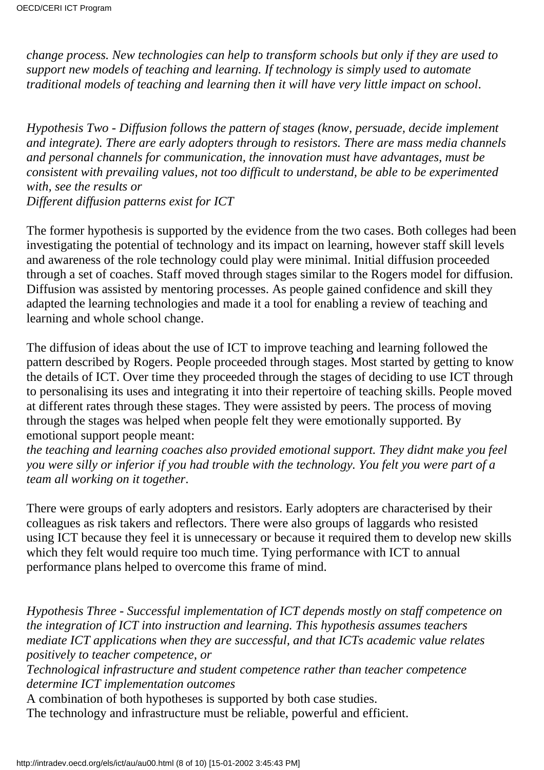*change process. New technologies can help to transform schools but only if they are used to support new models of teaching and learning. If technology is simply used to automate traditional models of teaching and learning then it will have very little impact on school*.

*Hypothesis Two - Diffusion follows the pattern of stages (know, persuade, decide implement and integrate). There are early adopters through to resistors. There are mass media channels and personal channels for communication, the innovation must have advantages, must be consistent with prevailing values, not too difficult to understand, be able to be experimented with, see the results or Different diffusion patterns exist for ICT*

The former hypothesis is supported by the evidence from the two cases. Both colleges had been investigating the potential of technology and its impact on learning, however staff skill levels and awareness of the role technology could play were minimal. Initial diffusion proceeded through a set of coaches. Staff moved through stages similar to the Roger s model for diffusion. Diffusion was assisted by mentoring processes. As people gained confidence and skill they adapted the learning technologies and made it a tool for enabling a review of teaching and learning and whole school change.

The diffusion of ideas about the use of ICT to improve teaching and learning followed the pattern described by Rogers. People proceeded through stages. Most started by getting to know the details of ICT. Over time they proceeded through the stages of deciding to use ICT through to personalising its uses and integrating it into their repertoire of teaching skills. People moved at different rates through these stages. They were assisted by peers. The process of moving through the stages was helped when people felt they were emotionally supported. By emotional support people meant:

*the teaching and learning coaches also provided emotional support. They didnt make you feel you were silly or inferior if you had trouble with the technology. You felt you were part of a team all working on it together*.

There were groups of early adopters and resistors. Early adopters are characterised by their colleagues as risk takers and reflectors. There were also groups of laggards who resisted using ICT because they feel it is unnecessary or because it required them to develop new skills which they felt would require too much time. Tying performance with ICT to annual performance plans helped to overcome this frame of mind.

*Hypothesis Three - Successful implementation of ICT depends mostly on staff competence on the integration of ICT into instruction and learning. This hypothesis assumes teachers mediate ICT applications when they are successful, and that ICT s academic value relates positively to teacher competence, or*

*Technological infrastructure and student competence rather than teacher competence determine ICT implementation outcomes*

A combination of both hypotheses is supported by both case studies.

The technology and infrastructure must be reliable, powerful and efficient.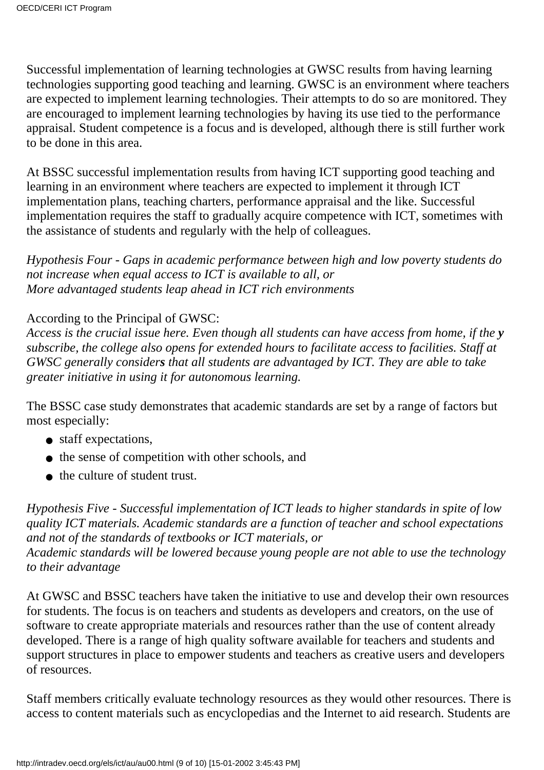Successful implementation of learning technologies at GWSC results from having learning technologies supporting good teaching and learning. GWSC is an environment where teachers are expected to implement learning technologies. Their attempts to do so are monitored. They are encouraged to implement learning technologies by having its use tied to the performance appraisal. Student competence is a focus and is developed, although there is still further work to be done in this area.

At BSSC successful implementation results from having ICT supporting good teaching and learning in an environment where teachers are expected to implement it through ICT implementation plans, teaching charters, performance appraisal and the like. Successful implementation requires the staff to gradually acquire competence with ICT, sometimes with the assistance of students and regularly with the help of colleagues.

*Hypothesis Four - Gaps in academic performance between high and low poverty students do not increase when equal access to ICT is available to all, or More advantaged students leap ahead in ICT rich environments*

#### According to the Principal of GWSC:

*Access is the crucial issue here. Even though all students can have access from home, if they subscribe, the college also opens for extended hours to facilitate access to facilities. Staff at GWSC generally considers that all students are advantaged by ICT. They are able to take greater initiative in using it for autonomous learning.*

The BSSC case study demonstrates that academic standards are set by a range of factors but most especially:

- staff expectations,
- the sense of competition with other schools, and
- the culture of student trust.

*Hypothesis Five - Successful implementation of ICT leads to higher standards in spite of low quality ICT materials. Academic standards are a function of teacher and school expectations and not of the standards of textbooks or ICT materials, or Academic standards will be lowered because young people are not able to use the technology to their advantage*

At GWSC and BSSC teachers have taken the initiative to use and develop their own resources for students. The focus is on teachers and students as developers and creators, on the use of software to create appropriate materials and resources rather than the use of content already developed. There is a range of high quality software available for teachers and students and support structures in place to empower students and teachers as creative users and developers of resources.

Staff members critically evaluate technology resources as they would other resources. There is access to content materials such as encyclopedias and the Internet to aid research. Students are